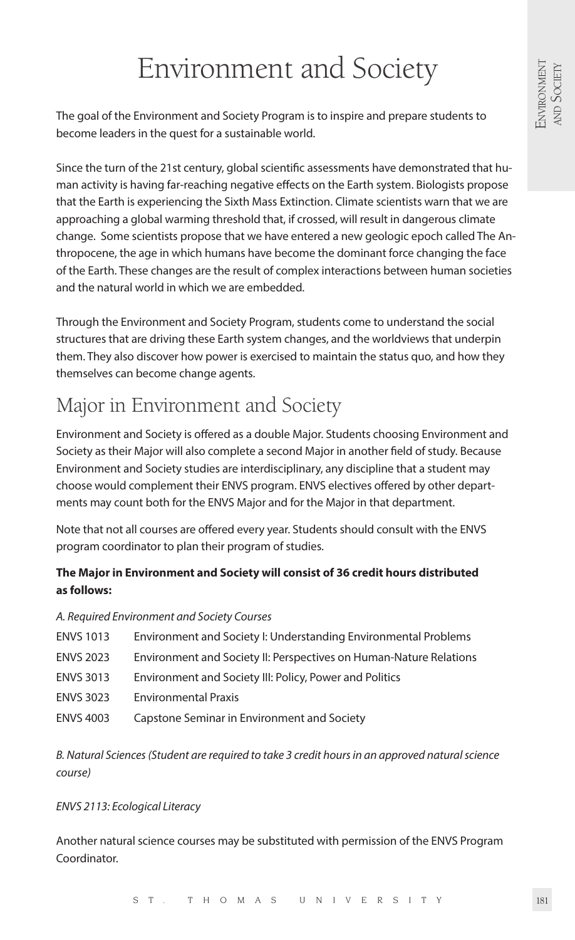# Environment and Society

The goal of the Environment and Society Program is to inspire and prepare students to become leaders in the quest for a sustainable world.

Since the turn of the 21st century, global scientific assessments have demonstrated that human activity is having far-reaching negative effects on the Earth system. Biologists propose that the Earth is experiencing the Sixth Mass Extinction. Climate scientists warn that we are approaching a global warming threshold that, if crossed, will result in dangerous climate change. Some scientists propose that we have entered a new geologic epoch called The Anthropocene, the age in which humans have become the dominant force changing the face of the Earth. These changes are the result of complex interactions between human societies and the natural world in which we are embedded.

Through the Environment and Society Program, students come to understand the social structures that are driving these Earth system changes, and the worldviews that underpin them. They also discover how power is exercised to maintain the status quo, and how they themselves can become change agents.

# Major in Environment and Society

Environment and Society is offered as a double Major. Students choosing Environment and Society as their Major will also complete a second Major in another field of study. Because Environment and Society studies are interdisciplinary, any discipline that a student may choose would complement their ENVS program. ENVS electives offered by other departments may count both for the ENVS Major and for the Major in that department.

Note that not all courses are offered every year. Students should consult with the ENVS program coordinator to plan their program of studies.

# **The Major in Environment and Society will consist of 36 credit hours distributed as follows:**

#### *A. Required Environment and Society Courses*

- ENVS 1013 Environment and Society I: Understanding Environmental Problems
- ENVS 2023 Environment and Society II: Perspectives on Human-Nature Relations
- ENVS 3013 Environment and Society III: Policy, Power and Politics
- ENVS 3023 Environmental Praxis
- ENVS 4003 Capstone Seminar in Environment and Society

*B. Natural Sciences (Student are required to take 3 credit hours in an approved natural science course)*

#### *ENVS 2113: Ecological Literacy*

Another natural science courses may be substituted with permission of the ENVS Program Coordinator.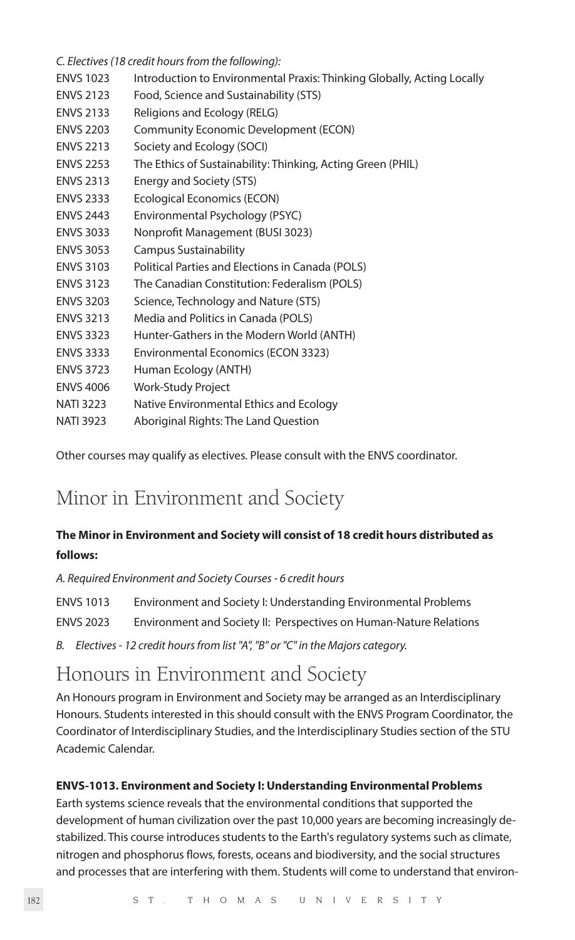*C. Electives (18 credit hours from the following):*

- ENVS 1023 Introduction to Environmental Praxis: Thinking Globally, Acting Locally
- ENVS 2123 Food, Science and Sustainability (STS)
- ENVS 2133 Religions and Ecology (RELG)
- ENVS 2203 Community Economic Development (ECON)
- ENVS 2213 Society and Ecology (SOCI)
- ENVS 2253 The Ethics of Sustainability: Thinking, Acting Green (PHIL)
- ENVS 2313 Energy and Society (STS)
- ENVS 2333 Ecological Economics (ECON)
- ENVS 2443 Environmental Psychology (PSYC)
- ENVS 3033 Nonprofit Management (BUSI 3023)
- ENVS 3053 Campus Sustainability
- ENVS 3103 Political Parties and Elections in Canada (POLS)
- ENVS 3123 The Canadian Constitution: Federalism (POLS)
- ENVS 3203 Science, Technology and Nature (STS)
- ENVS 3213 Media and Politics in Canada (POLS)
- ENVS 3323 Hunter-Gathers in the Modern World (ANTH)
- ENVS 3333 Environmental Economics (ECON 3323)
- ENVS 3723 Human Ecology (ANTH)
- ENVS 4006 Work-Study Project
- NATI 3223 Native Environmental Ethics and Ecology
- NATI 3923 Aboriginal Rights: The Land Question

Other courses may qualify as electives. Please consult with the ENVS coordinator.

# Minor in Environment and Society

# **The Minor in Environment and Society will consist of 18 credit hours distributed as follows:**

*A. Required Environment and Society Courses - 6 credit hours*

- ENVS 1013 Environment and Society I: Understanding Environmental Problems
- ENVS 2023 Environment and Society II: Perspectives on Human-Nature Relations
- *B. Electives 12 credit hours from list "A", "B" or "C" in the Majors category.*

# Honours in Environment and Society

An Honours program in Environment and Society may be arranged as an Interdisciplinary Honours. Students interested in this should consult with the ENVS Program Coordinator, the Coordinator of Interdisciplinary Studies, and the Interdisciplinary Studies section of the STU Academic Calendar.

#### **ENVS-1013. Environment and Society I: Understanding Environmental Problems**

Earth systems science reveals that the environmental conditions that supported the development of human civilization over the past 10,000 years are becoming increasingly destabilized. This course introduces students to the Earth's regulatory systems such as climate, nitrogen and phosphorus flows, forests, oceans and biodiversity, and the social structures and processes that are interfering with them. Students will come to understand that environ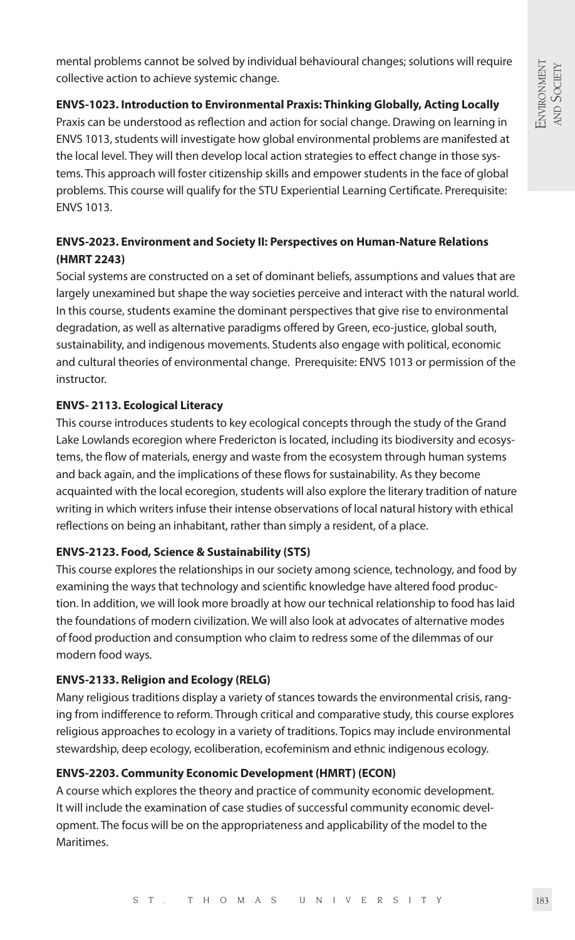mental problems cannot be solved by individual behavioural changes; solutions will require collective action to achieve systemic change.

#### **ENVS-1023. Introduction to Environmental Praxis: Thinking Globally, Acting Locally**

Praxis can be understood as reflection and action for social change. Drawing on learning in ENVS 1013, students will investigate how global environmental problems are manifested at the local level. They will then develop local action strategies to effect change in those systems. This approach will foster citizenship skills and empower students in the face of global problems. This course will qualify for the STU Experiential Learning Certificate. Prerequisite: ENVS 1013.

# **ENVS-2023. Environment and Society II: Perspectives on Human-Nature Relations (HMRT 2243)**

Social systems are constructed on a set of dominant beliefs, assumptions and values that are largely unexamined but shape the way societies perceive and interact with the natural world. In this course, students examine the dominant perspectives that give rise to environmental degradation, as well as alternative paradigms offered by Green, eco-justice, global south, sustainability, and indigenous movements. Students also engage with political, economic and cultural theories of environmental change. Prerequisite: ENVS 1013 or permission of the instructor.

# **ENVS- 2113. Ecological Literacy**

This course introduces students to key ecological concepts through the study of the Grand Lake Lowlands ecoregion where Fredericton is located, including its biodiversity and ecosystems, the flow of materials, energy and waste from the ecosystem through human systems and back again, and the implications of these flows for sustainability. As they become acquainted with the local ecoregion, students will also explore the literary tradition of nature writing in which writers infuse their intense observations of local natural history with ethical reflections on being an inhabitant, rather than simply a resident, of a place.

# **ENVS-2123. Food, Science & Sustainability (STS)**

This course explores the relationships in our society among science, technology, and food by examining the ways that technology and scientific knowledge have altered food production. In addition, we will look more broadly at how our technical relationship to food has laid the foundations of modern civilization. We will also look at advocates of alternative modes of food production and consumption who claim to redress some of the dilemmas of our modern food ways.

# **ENVS-2133. Religion and Ecology (RELG)**

Many religious traditions display a variety of stances towards the environmental crisis, ranging from indifference to reform. Through critical and comparative study, this course explores religious approaches to ecology in a variety of traditions. Topics may include environmental stewardship, deep ecology, ecoliberation, ecofeminism and ethnic indigenous ecology.

# **ENVS-2203. Community Economic Development (HMRT) (ECON)**

A course which explores the theory and practice of community economic development. It will include the examination of case studies of successful community economic development. The focus will be on the appropriateness and applicability of the model to the Maritimes.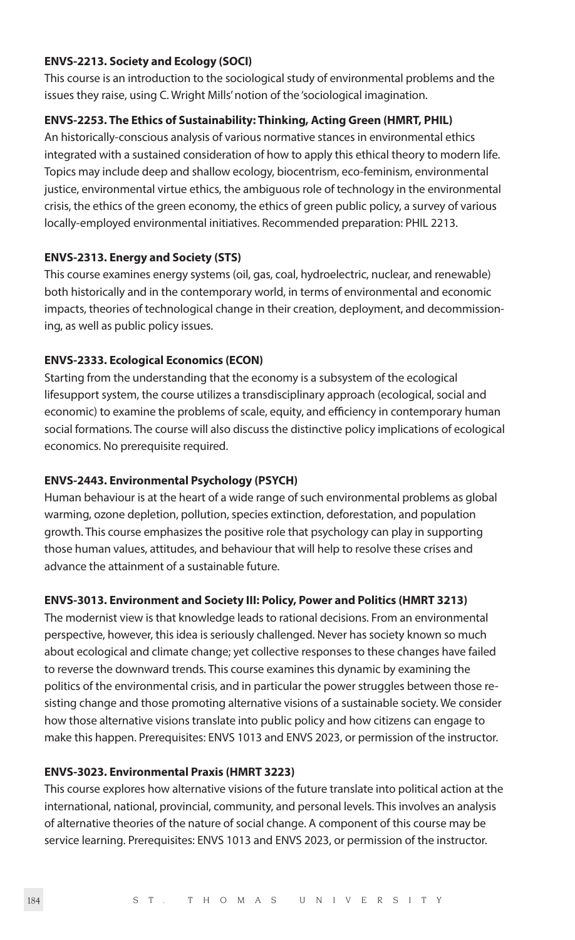#### **ENVS-2213. Society and Ecology (SOCI)**

This course is an introduction to the sociological study of environmental problems and the issues they raise, using C. Wright Mills' notion of the 'sociological imagination.

#### **ENVS-2253. The Ethics of Sustainability: Thinking, Acting Green (HMRT, PHIL)**

An historically-conscious analysis of various normative stances in environmental ethics integrated with a sustained consideration of how to apply this ethical theory to modern life. Topics may include deep and shallow ecology, biocentrism, eco-feminism, environmental justice, environmental virtue ethics, the ambiguous role of technology in the environmental crisis, the ethics of the green economy, the ethics of green public policy, a survey of various locally-employed environmental initiatives. Recommended preparation: PHIL 2213.

#### **ENVS-2313. Energy and Society (STS)**

This course examines energy systems (oil, gas, coal, hydroelectric, nuclear, and renewable) both historically and in the contemporary world, in terms of environmental and economic impacts, theories of technological change in their creation, deployment, and decommissioning, as well as public policy issues.

#### **ENVS-2333. Ecological Economics (ECON)**

Starting from the understanding that the economy is a subsystem of the ecological lifesupport system, the course utilizes a transdisciplinary approach (ecological, social and economic) to examine the problems of scale, equity, and efficiency in contemporary human social formations. The course will also discuss the distinctive policy implications of ecological economics. No prerequisite required.

#### **ENVS-2443. Environmental Psychology (PSYCH)**

Human behaviour is at the heart of a wide range of such environmental problems as global warming, ozone depletion, pollution, species extinction, deforestation, and population growth. This course emphasizes the positive role that psychology can play in supporting those human values, attitudes, and behaviour that will help to resolve these crises and advance the attainment of a sustainable future.

#### **ENVS-3013. Environment and Society III: Policy, Power and Politics (HMRT 3213)**

The modernist view is that knowledge leads to rational decisions. From an environmental perspective, however, this idea is seriously challenged. Never has society known so much about ecological and climate change; yet collective responses to these changes have failed to reverse the downward trends. This course examines this dynamic by examining the politics of the environmental crisis, and in particular the power struggles between those resisting change and those promoting alternative visions of a sustainable society. We consider how those alternative visions translate into public policy and how citizens can engage to make this happen. Prerequisites: ENVS 1013 and ENVS 2023, or permission of the instructor.

#### **ENVS-3023. Environmental Praxis (HMRT 3223)**

This course explores how alternative visions of the future translate into political action at the international, national, provincial, community, and personal levels. This involves an analysis of alternative theories of the nature of social change. A component of this course may be service learning. Prerequisites: ENVS 1013 and ENVS 2023, or permission of the instructor.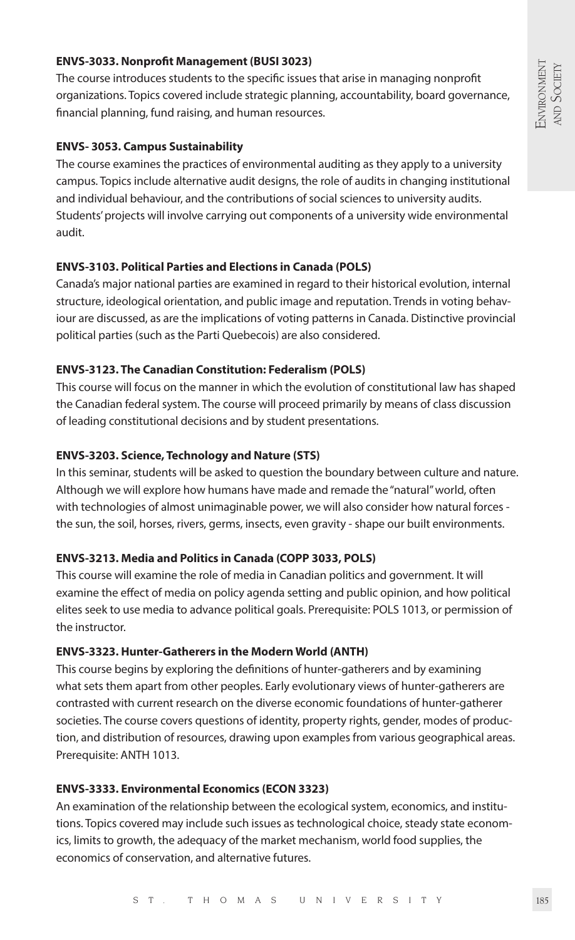#### **ENVS-3033. Nonprofit Management (BUSI 3023)**

The course introduces students to the specific issues that arise in managing nonprofit organizations. Topics covered include strategic planning, accountability, board governance, financial planning, fund raising, and human resources.

#### **ENVS- 3053. Campus Sustainability**

The course examines the practices of environmental auditing as they apply to a university campus. Topics include alternative audit designs, the role of audits in changing institutional and individual behaviour, and the contributions of social sciences to university audits. Students' projects will involve carrying out components of a university wide environmental audit.

#### **ENVS-3103. Political Parties and Elections in Canada (POLS)**

Canada's major national parties are examined in regard to their historical evolution, internal structure, ideological orientation, and public image and reputation. Trends in voting behaviour are discussed, as are the implications of voting patterns in Canada. Distinctive provincial political parties (such as the Parti Quebecois) are also considered.

#### **ENVS-3123. The Canadian Constitution: Federalism (POLS)**

This course will focus on the manner in which the evolution of constitutional law has shaped the Canadian federal system. The course will proceed primarily by means of class discussion of leading constitutional decisions and by student presentations.

#### **ENVS-3203. Science, Technology and Nature (STS)**

In this seminar, students will be asked to question the boundary between culture and nature. Although we will explore how humans have made and remade the "natural" world, often with technologies of almost unimaginable power, we will also consider how natural forces the sun, the soil, horses, rivers, germs, insects, even gravity - shape our built environments.

#### **ENVS-3213. Media and Politics in Canada (COPP 3033, POLS)**

This course will examine the role of media in Canadian politics and government. It will examine the effect of media on policy agenda setting and public opinion, and how political elites seek to use media to advance political goals. Prerequisite: POLS 1013, or permission of the instructor.

#### **ENVS-3323. Hunter-Gatherers in the Modern World (ANTH)**

This course begins by exploring the definitions of hunter-gatherers and by examining what sets them apart from other peoples. Early evolutionary views of hunter-gatherers are contrasted with current research on the diverse economic foundations of hunter-gatherer societies. The course covers questions of identity, property rights, gender, modes of production, and distribution of resources, drawing upon examples from various geographical areas. Prerequisite: ANTH 1013.

#### **ENVS-3333. Environmental Economics (ECON 3323)**

An examination of the relationship between the ecological system, economics, and institutions. Topics covered may include such issues as technological choice, steady state economics, limits to growth, the adequacy of the market mechanism, world food supplies, the economics of conservation, and alternative futures.